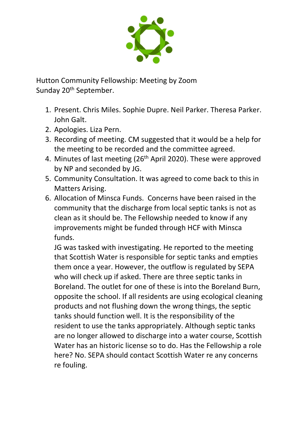

Hutton Community Fellowship: Meeting by Zoom Sunday 20<sup>th</sup> September.

- 1. Present. Chris Miles. Sophie Dupre. Neil Parker. Theresa Parker. John Galt.
- 2. Apologies. Liza Pern.
- 3. Recording of meeting. CM suggested that it would be a help for the meeting to be recorded and the committee agreed.
- 4. Minutes of last meeting (26<sup>th</sup> April 2020). These were approved by NP and seconded by JG.
- 5. Community Consultation. It was agreed to come back to this in Matters Arising.
- 6. Allocation of Minsca Funds. Concerns have been raised in the community that the discharge from local septic tanks is not as clean as it should be. The Fellowship needed to know if any improvements might be funded through HCF with Minsca funds.

JG was tasked with investigating. He reported to the meeting that Scottish Water is responsible for septic tanks and empties them once a year. However, the outflow is regulated by SEPA who will check up if asked. There are three septic tanks in Boreland. The outlet for one of these is into the Boreland Burn, opposite the school. If all residents are using ecological cleaning products and not flushing down the wrong things, the septic tanks should function well. It is the responsibility of the resident to use the tanks appropriately. Although septic tanks are no longer allowed to discharge into a water course, Scottish Water has an historic license so to do. Has the Fellowship a role here? No. SEPA should contact Scottish Water re any concerns re fouling.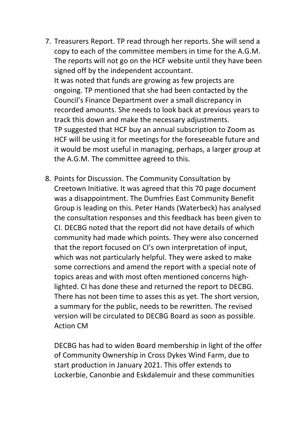- 7. Treasurers Report. TP read through her reports. She will send a copy to each of the committee members in time for the A.G.M. The reports will not go on the HCF website until they have been signed off by the independent accountant. It was noted that funds are growing as few projects are ongoing. TP mentioned that she had been contacted by the Council's Finance Department over a small discrepancy in recorded amounts. She needs to look back at previous years to track this down and make the necessary adjustments. TP suggested that HCF buy an annual subscription to Zoom as HCF will be using it for meetings for the foreseeable future and it would be most useful in managing, perhaps, a larger group at the A.G.M. The committee agreed to this.
- 8. Points for Discussion. The Community Consultation by Creetown Initiative. It was agreed that this 70 page document was a disappointment. The Dumfries East Community Benefit Group is leading on this. Peter Hands (Waterbeck) has analysed the consultation responses and this feedback has been given to CI. DECBG noted that the report did not have details of which community had made which points. They were also concerned that the report focused on CI's own interpretation of input, which was not particularly helpful. They were asked to make some corrections and amend the report with a special note of topics areas and with most often mentioned concerns highlighted. CI has done these and returned the report to DECBG. There has not been time to asses this as yet. The short version, a summary for the public, needs to be rewritten. The revised version will be circulated to DECBG Board as soon as possible. Action CM

DECBG has had to widen Board membership in light of the offer of Community Ownership in Cross Dykes Wind Farm, due to start production in January 2021. This offer extends to Lockerbie, Canonbie and Eskdalemuir and these communities